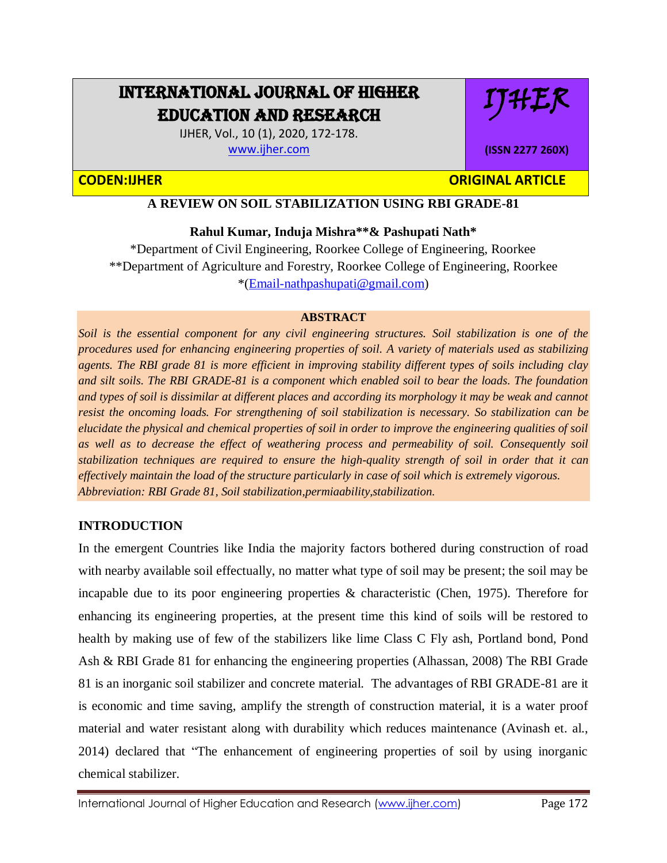# INTERNATIONAL JOURNAL OF HIGHER EDUCATION AND RESEARCH

IJHER

**(ISSN 2277 260X)**

IJHER, Vol., 10 (1), 2020, 172-178. [www.ijher.com](http://www.ijher.com/)

# **CODEN:IJHER ORIGINAL ARTICLE**

# **A REVIEW ON SOIL STABILIZATION USING RBI GRADE-81**

# **Rahul Kumar, Induja Mishra\*\*& Pashupati Nath\***

\*Department of Civil Engineering, Roorkee College of Engineering, Roorkee \*\*Department of Agriculture and Forestry, Roorkee College of Engineering, Roorkee \*[\(Email-nathpashupati@gmail.com\)](mailto:Email-nathpashupati@gmail.com)

#### **ABSTRACT**

*Soil is the essential component for any civil engineering structures. Soil stabilization is one of the procedures used for enhancing engineering properties of soil. A variety of materials used as stabilizing agents. The RBI grade 81 is more efficient in improving stability different types of soils including clay and silt soils. The RBI GRADE-81 is a component which enabled soil to bear the loads. The foundation and types of soil is dissimilar at different places and according its morphology it may be weak and cannot resist the oncoming loads. For strengthening of soil stabilization is necessary. So stabilization can be elucidate the physical and chemical properties of soil in order to improve the engineering qualities of soil as well as to decrease the effect of weathering process and permeability of soil. Consequently soil stabilization techniques are required to ensure the high-quality strength of soil in order that it can effectively maintain the load of the structure particularly in case of soil which is extremely vigorous. Abbreviation: RBI Grade 81, Soil stabilization,permiaability,stabilization.* 

### **INTRODUCTION**

In the emergent Countries like India the majority factors bothered during construction of road with nearby available soil effectually, no matter what type of soil may be present; the soil may be incapable due to its poor engineering properties  $\&$  characteristic (Chen, 1975). Therefore for enhancing its engineering properties, at the present time this kind of soils will be restored to health by making use of few of the stabilizers like lime Class C Fly ash, Portland bond, Pond Ash & RBI Grade 81 for enhancing the engineering properties (Alhassan, 2008) The RBI Grade 81 is an inorganic soil stabilizer and concrete material. The advantages of RBI GRADE-81 are it is economic and time saving, amplify the strength of construction material, it is a water proof material and water resistant along with durability which reduces maintenance (Avinash et. al., 2014) declared that "The enhancement of engineering properties of soil by using inorganic chemical stabilizer.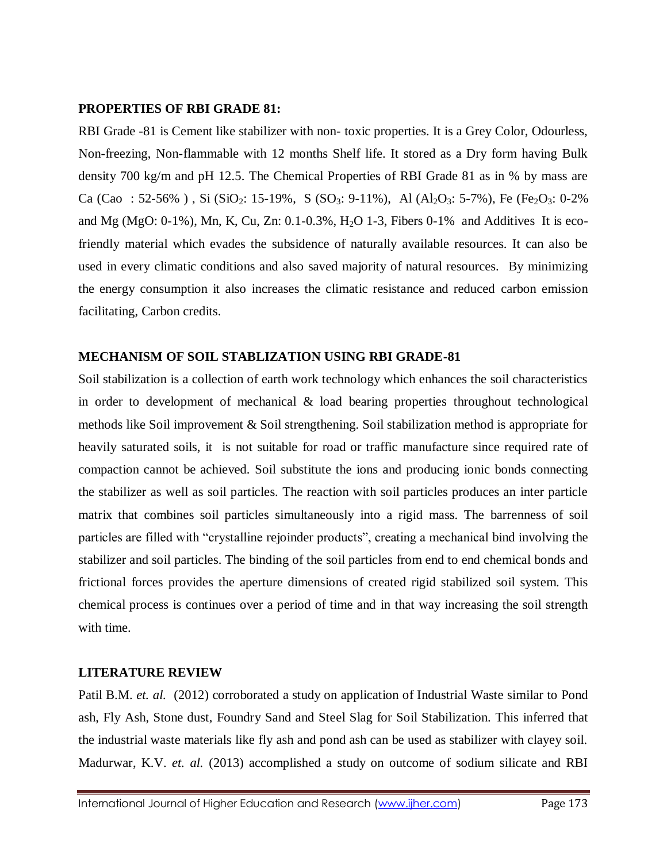#### **PROPERTIES OF RBI GRADE 81:**

RBI Grade -81 is Cement like stabilizer with non- toxic properties. It is a Grey Color, Odourless, Non-freezing, Non-flammable with 12 months Shelf life. It stored as a Dry form having Bulk density 700 kg/m and pH 12.5. The Chemical Properties of RBI Grade 81 as in % by mass are Ca (Cao : 52-56%), Si (SiO<sub>2</sub>: 15-19%, S (SO<sub>3</sub>: 9-11%), Al (Al<sub>2</sub>O<sub>3</sub>: 5-7%), Fe (Fe<sub>2</sub>O<sub>3</sub>: 0-2%) and Mg (MgO:  $0-1\%$ ), Mn, K, Cu, Zn:  $0.1-0.3\%$ , H<sub>2</sub>O 1-3, Fibers 0-1% and Additives It is ecofriendly material which evades the subsidence of naturally available resources. It can also be used in every climatic conditions and also saved majority of natural resources. By minimizing the energy consumption it also increases the climatic resistance and reduced carbon emission facilitating, Carbon credits.

## **MECHANISM OF SOIL STABLIZATION USING RBI GRADE-81**

Soil stabilization is a collection of earth work technology which enhances the soil characteristics in order to development of mechanical  $\&$  load bearing properties throughout technological methods like Soil improvement & Soil strengthening. Soil stabilization method is appropriate for heavily saturated soils, it is not suitable for road or traffic manufacture since required rate of compaction cannot be achieved. Soil substitute the ions and producing ionic bonds connecting the stabilizer as well as soil particles. The reaction with soil particles produces an inter particle matrix that combines soil particles simultaneously into a rigid mass. The barrenness of soil particles are filled with "crystalline rejoinder products", creating a mechanical bind involving the stabilizer and soil particles. The binding of the soil particles from end to end chemical bonds and frictional forces provides the aperture dimensions of created rigid stabilized soil system. This chemical process is continues over a period of time and in that way increasing the soil strength with time.

### **LITERATURE REVIEW**

Patil B.M. *et. al.* (2012) corroborated a study on application of Industrial Waste similar to Pond ash, Fly Ash, Stone dust, Foundry Sand and Steel Slag for Soil Stabilization. This inferred that the industrial waste materials like fly ash and pond ash can be used as stabilizer with clayey soil. Madurwar, K.V. *et. al.* (2013) accomplished a study on outcome of sodium silicate and RBI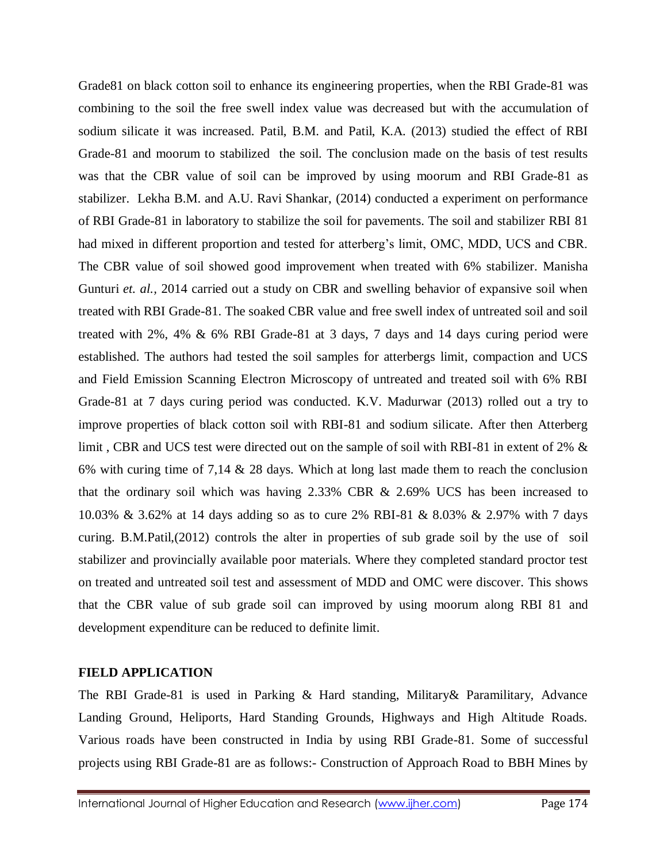Grade81 on black cotton soil to enhance its engineering properties, when the RBI Grade-81 was combining to the soil the free swell index value was decreased but with the accumulation of sodium silicate it was increased. Patil, B.M. and Patil, K.A. (2013) studied the effect of RBI Grade-81 and moorum to stabilized the soil. The conclusion made on the basis of test results was that the CBR value of soil can be improved by using moorum and RBI Grade-81 as stabilizer. Lekha B.M. and A.U. Ravi Shankar, (2014) conducted a experiment on performance of RBI Grade-81 in laboratory to stabilize the soil for pavements. The soil and stabilizer RBI 81 had mixed in different proportion and tested for atterberg's limit, OMC, MDD, UCS and CBR. The CBR value of soil showed good improvement when treated with 6% stabilizer. Manisha Gunturi *et. al.*, 2014 carried out a study on CBR and swelling behavior of expansive soil when treated with RBI Grade-81. The soaked CBR value and free swell index of untreated soil and soil treated with 2%, 4% & 6% RBI Grade-81 at 3 days, 7 days and 14 days curing period were established. The authors had tested the soil samples for atterbergs limit, compaction and UCS and Field Emission Scanning Electron Microscopy of untreated and treated soil with 6% RBI Grade-81 at 7 days curing period was conducted. K.V. Madurwar (2013) rolled out a try to improve properties of black cotton soil with RBI-81 and sodium silicate. After then Atterberg limit , CBR and UCS test were directed out on the sample of soil with RBI-81 in extent of 2% & 6% with curing time of 7,14 & 28 days. Which at long last made them to reach the conclusion that the ordinary soil which was having 2.33% CBR & 2.69% UCS has been increased to 10.03% & 3.62% at 14 days adding so as to cure 2% RBI-81 & 8.03% & 2.97% with 7 days curing. B.M.Patil,(2012) controls the alter in properties of sub grade soil by the use of soil stabilizer and provincially available poor materials. Where they completed standard proctor test on treated and untreated soil test and assessment of MDD and OMC were discover. This shows that the CBR value of sub grade soil can improved by using moorum along RBI 81 and development expenditure can be reduced to definite limit.

### **FIELD APPLICATION**

The RBI Grade-81 is used in Parking & Hard standing, Military& Paramilitary, Advance Landing Ground, Heliports, Hard Standing Grounds, Highways and High Altitude Roads. Various roads have been constructed in India by using RBI Grade-81. Some of successful projects using RBI Grade-81 are as follows:- Construction of Approach Road to BBH Mines by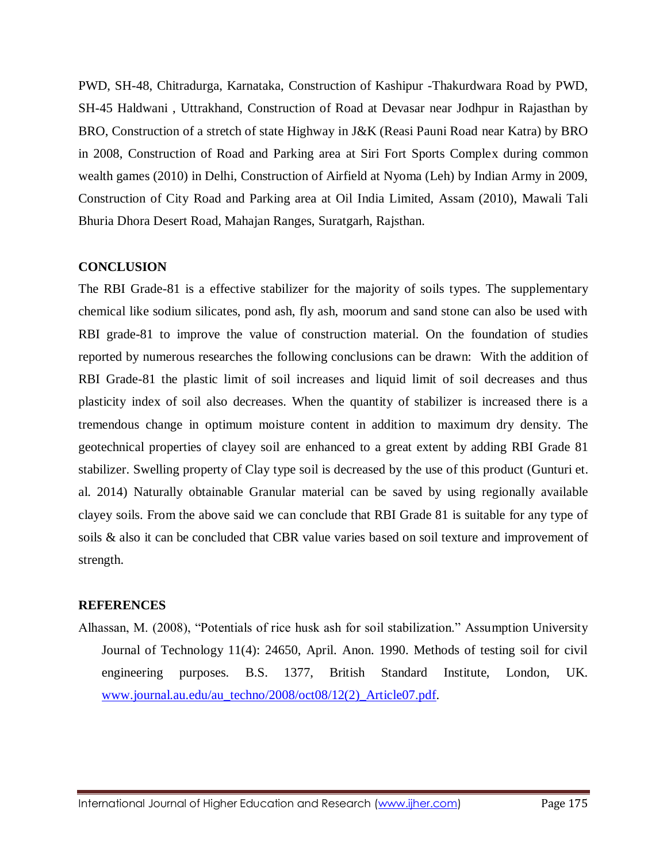PWD, SH-48, Chitradurga, Karnataka, Construction of Kashipur -Thakurdwara Road by PWD, SH-45 Haldwani , Uttrakhand, Construction of Road at Devasar near Jodhpur in Rajasthan by BRO, Construction of a stretch of state Highway in J&K (Reasi Pauni Road near Katra) by BRO in 2008, Construction of Road and Parking area at Siri Fort Sports Complex during common wealth games (2010) in Delhi, Construction of Airfield at Nyoma (Leh) by Indian Army in 2009, Construction of City Road and Parking area at Oil India Limited, Assam (2010), Mawali Tali Bhuria Dhora Desert Road, Mahajan Ranges, Suratgarh, Rajsthan.

#### **CONCLUSION**

The RBI Grade-81 is a effective stabilizer for the majority of soils types. The supplementary chemical like sodium silicates, pond ash, fly ash, moorum and sand stone can also be used with RBI grade-81 to improve the value of construction material. On the foundation of studies reported by numerous researches the following conclusions can be drawn: With the addition of RBI Grade-81 the plastic limit of soil increases and liquid limit of soil decreases and thus plasticity index of soil also decreases. When the quantity of stabilizer is increased there is a tremendous change in optimum moisture content in addition to maximum dry density. The geotechnical properties of clayey soil are enhanced to a great extent by adding RBI Grade 81 stabilizer. Swelling property of Clay type soil is decreased by the use of this product (Gunturi et. al. 2014) Naturally obtainable Granular material can be saved by using regionally available clayey soils. From the above said we can conclude that RBI Grade 81 is suitable for any type of soils & also it can be concluded that CBR value varies based on soil texture and improvement of strength.

#### **REFERENCES**

Alhassan, M. (2008), "Potentials of rice husk ash for soil stabilization." Assumption University Journal of Technology 11(4): 24650, April. Anon. 1990. Methods of testing soil for civil engineering purposes. B.S. 1377, British Standard Institute, London, UK. [www.journal.au.edu/au\\_techno/2008/oct08/12\(2\)\\_Article07.pdf.](http://www.journal.au.edu/au_techno/2008/oct08/12(2)_Article07.pdf)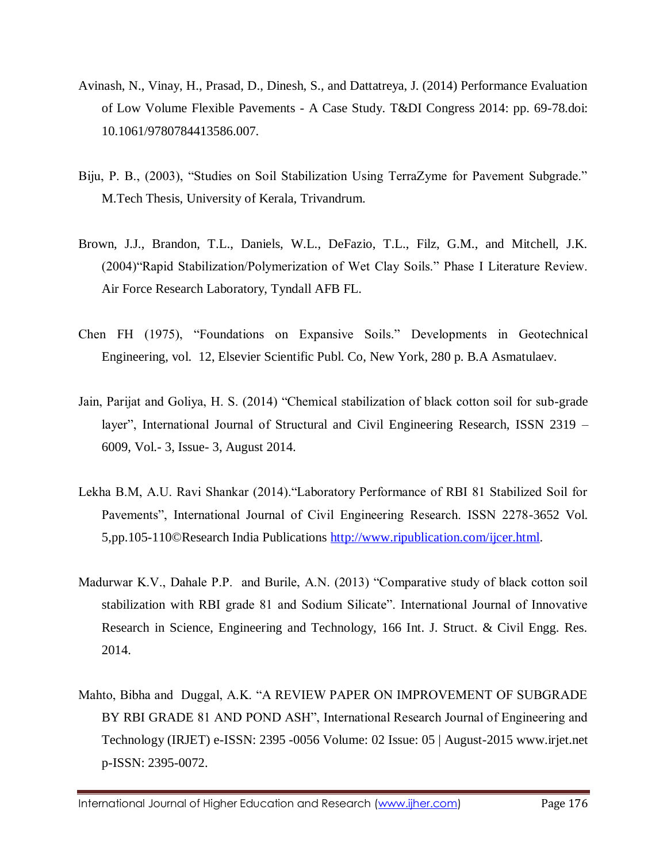- Avinash, N., Vinay, H., Prasad, D., Dinesh, S., and Dattatreya, J. (2014) Performance Evaluation of Low Volume Flexible Pavements - A Case Study. T&DI Congress 2014: pp. 69-78.doi: 10.1061/9780784413586.007.
- Biju, P. B., (2003), "Studies on Soil Stabilization Using TerraZyme for Pavement Subgrade." M.Tech Thesis, University of Kerala, Trivandrum.
- Brown, J.J., Brandon, T.L., Daniels, W.L., DeFazio, T.L., Filz, G.M., and Mitchell, J.K. (2004)"Rapid Stabilization/Polymerization of Wet Clay Soils." Phase I Literature Review. Air Force Research Laboratory, Tyndall AFB FL.
- Chen FH (1975), "Foundations on Expansive Soils." Developments in Geotechnical Engineering, vol. 12, Elsevier Scientific Publ. Co, New York, 280 p. B.A Asmatulaev.
- Jain, Parijat and Goliya, H. S. (2014) "Chemical stabilization of black cotton soil for sub-grade layer", International Journal of Structural and Civil Engineering Research, ISSN 2319 – 6009, Vol.- 3, Issue- 3, August 2014.
- Lekha B.M, A.U. Ravi Shankar (2014)."Laboratory Performance of RBI 81 Stabilized Soil for Pavements", International Journal of Civil Engineering Research. ISSN 2278-3652 Vol. 5,pp.105-110©Research India Publications [http://www.ripublication.com/ijcer.html.](http://www.ripublication.com/ijcer.html)
- Madurwar K.V., Dahale P.P. and Burile, A.N. (2013) "Comparative study of black cotton soil stabilization with RBI grade 81 and Sodium Silicate". International Journal of Innovative Research in Science, Engineering and Technology, 166 Int. J. Struct. & Civil Engg. Res. 2014.
- Mahto, Bibha and Duggal, A.K. "A REVIEW PAPER ON IMPROVEMENT OF SUBGRADE BY RBI GRADE 81 AND POND ASH", International Research Journal of Engineering and Technology (IRJET) e-ISSN: 2395 -0056 Volume: 02 Issue: 05 | August-2015 www.irjet.net p-ISSN: 2395-0072.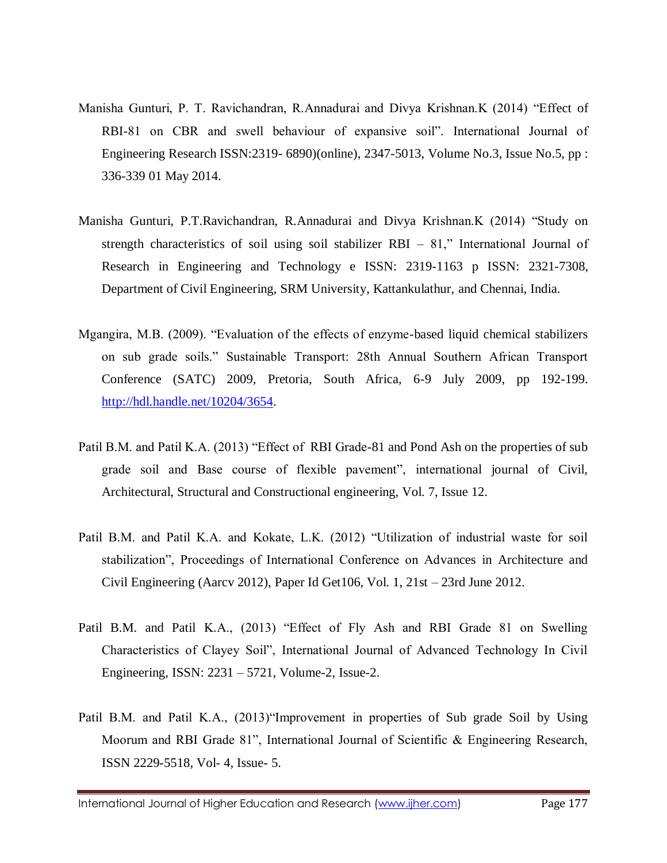- Manisha Gunturi, P. T. Ravichandran, R.Annadurai and Divya Krishnan.K (2014) "Effect of RBI-81 on CBR and swell behaviour of expansive soil". International Journal of Engineering Research ISSN:2319- 6890)(online), 2347-5013, Volume No.3, Issue No.5, pp : 336-339 01 May 2014.
- Manisha Gunturi, P.T.Ravichandran, R.Annadurai and Divya Krishnan.K (2014) "Study on strength characteristics of soil using soil stabilizer RBI  $-81$ ," International Journal of Research in Engineering and Technology e ISSN: 2319-1163 p ISSN: 2321-7308, Department of Civil Engineering, SRM University, Kattankulathur, and Chennai, India.
- Mgangira, M.B. (2009). "Evaluation of the effects of enzyme-based liquid chemical stabilizers on sub grade soils." Sustainable Transport: 28th Annual Southern African Transport Conference (SATC) 2009, Pretoria, South Africa, 6-9 July 2009, pp 192-199. [http://hdl.handle.net/10204/3654.](http://hdl.handle.net/10204/3654)
- Patil B.M. and Patil K.A. (2013) "Effect of RBI Grade-81 and Pond Ash on the properties of sub grade soil and Base course of flexible pavement", international journal of Civil, Architectural, Structural and Constructional engineering, Vol. 7, Issue 12.
- Patil B.M. and Patil K.A. and Kokate, L.K. (2012) "Utilization of industrial waste for soil stabilization", Proceedings of International Conference on Advances in Architecture and Civil Engineering (Aarcv 2012), Paper Id Get106, Vol. 1, 21st – 23rd June 2012.
- Patil B.M. and Patil K.A., (2013) "Effect of Fly Ash and RBI Grade 81 on Swelling Characteristics of Clayey Soil", International Journal of Advanced Technology In Civil Engineering, ISSN: 2231 – 5721, Volume-2, Issue-2.
- Patil B.M. and Patil K.A., (2013)"Improvement in properties of Sub grade Soil by Using Moorum and RBI Grade 81", International Journal of Scientific & Engineering Research, ISSN 2229-5518, Vol- 4, Issue- 5.